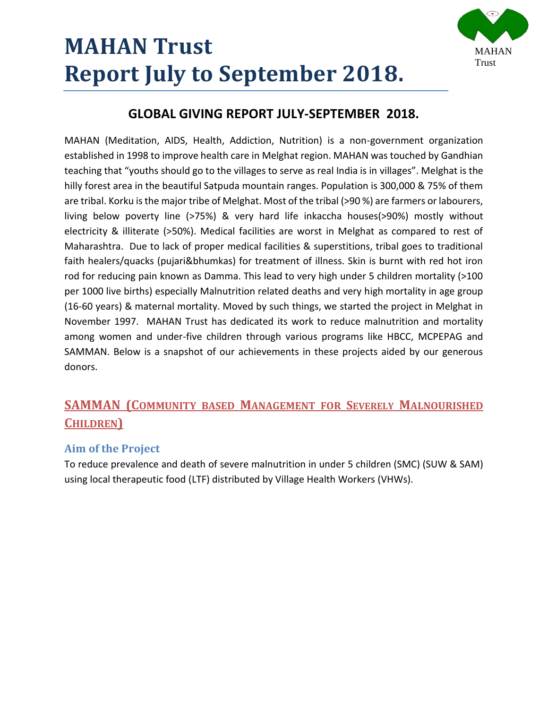

## **GLOBAL GIVING REPORT JULY-SEPTEMBER 2018.**

MAHAN (Meditation, AIDS, Health, Addiction, Nutrition) is a non-government organization established in 1998 to improve health care in Melghat region. MAHAN was touched by Gandhian teaching that "youths should go to the villages to serve as real India is in villages". Melghat is the hilly forest area in the beautiful Satpuda mountain ranges. Population is 300,000 & 75% of them are tribal. Korku is the major tribe of Melghat. Most of the tribal (>90 %) are farmers or labourers, living below poverty line (>75%) & very hard life inkaccha houses(>90%) mostly without electricity & illiterate (>50%). Medical facilities are worst in Melghat as compared to rest of Maharashtra. Due to lack of proper medical facilities & superstitions, tribal goes to traditional faith healers/quacks (pujari&bhumkas) for treatment of illness. Skin is burnt with red hot iron rod for reducing pain known as Damma. This lead to very high under 5 children mortality (>100 per 1000 live births) especially Malnutrition related deaths and very high mortality in age group (16-60 years) & maternal mortality. Moved by such things, we started the project in Melghat in November 1997. MAHAN Trust has dedicated its work to reduce malnutrition and mortality among women and under-five children through various programs like HBCC, MCPEPAG and SAMMAN. Below is a snapshot of our achievements in these projects aided by our generous donors.

## **SAMMAN (COMMUNITY BASED MANAGEMENT FOR SEVERELY MALNOURISHED CHILDREN)**

### **Aim of the Project**

To reduce prevalence and death of severe malnutrition in under 5 children (SMC) (SUW & SAM) using local therapeutic food (LTF) distributed by Village Health Workers (VHWs).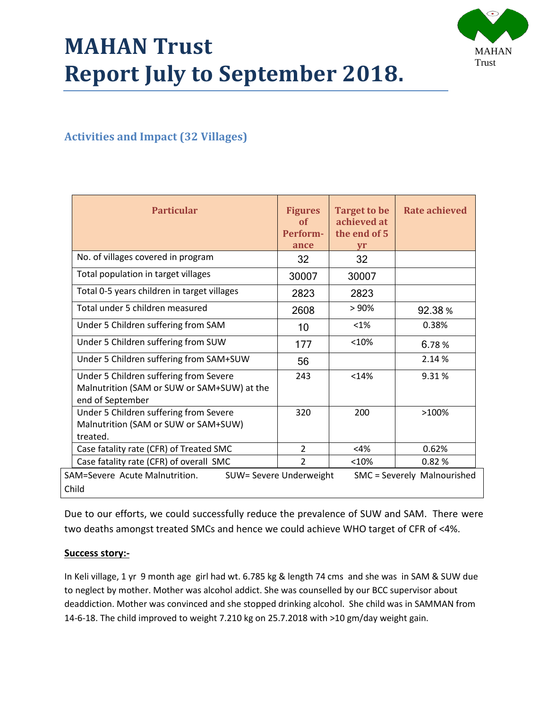



## **Activities and Impact (32 Villages)**

| <b>Particular</b>                                                                                         | <b>Figures</b><br>of<br>Perform-<br>ance | <b>Target to be</b><br>achieved at<br>the end of 5<br><b>vr</b> | Rate achieved |  |
|-----------------------------------------------------------------------------------------------------------|------------------------------------------|-----------------------------------------------------------------|---------------|--|
| No. of villages covered in program                                                                        | 32                                       | 32                                                              |               |  |
| Total population in target villages                                                                       | 30007                                    | 30007                                                           |               |  |
| Total 0-5 years children in target villages                                                               | 2823                                     | 2823                                                            |               |  |
| Total under 5 children measured                                                                           | 2608                                     | >90%                                                            | 92.38%        |  |
| Under 5 Children suffering from SAM                                                                       | 10                                       | $< 1\%$                                                         | 0.38%         |  |
| Under 5 Children suffering from SUW                                                                       | 177                                      | < 10%                                                           | 6.78%         |  |
| Under 5 Children suffering from SAM+SUW                                                                   | 56                                       |                                                                 | 2.14 %        |  |
| Under 5 Children suffering from Severe<br>Malnutrition (SAM or SUW or SAM+SUW) at the<br>end of September | 243                                      | < 14%                                                           | 9.31 %        |  |
| Under 5 Children suffering from Severe<br>Malnutrition (SAM or SUW or SAM+SUW)<br>treated.                | 320                                      | 200                                                             | >100%         |  |
| Case fatality rate (CFR) of Treated SMC                                                                   | $\overline{2}$                           | $<$ 4%                                                          | 0.62%         |  |
| Case fatality rate (CFR) of overall SMC                                                                   | $\overline{2}$                           | < 10%                                                           | 0.82%         |  |
| SAM=Severe Acute Malnutrition.<br>SUW= Severe Underweight<br>SMC = Severely Malnourished<br>Child         |                                          |                                                                 |               |  |

Due to our efforts, we could successfully reduce the prevalence of SUW and SAM. There were two deaths amongst treated SMCs and hence we could achieve WHO target of CFR of <4%.

#### **Success story:-**

In Keli village, 1 yr 9 month age girl had wt. 6.785 kg & length 74 cms and she was in SAM & SUW due to neglect by mother. Mother was alcohol addict. She was counselled by our BCC supervisor about deaddiction. Mother was convinced and she stopped drinking alcohol. She child was in SAMMAN from 14-6-18. The child improved to weight 7.210 kg on 25.7.2018 with >10 gm/day weight gain.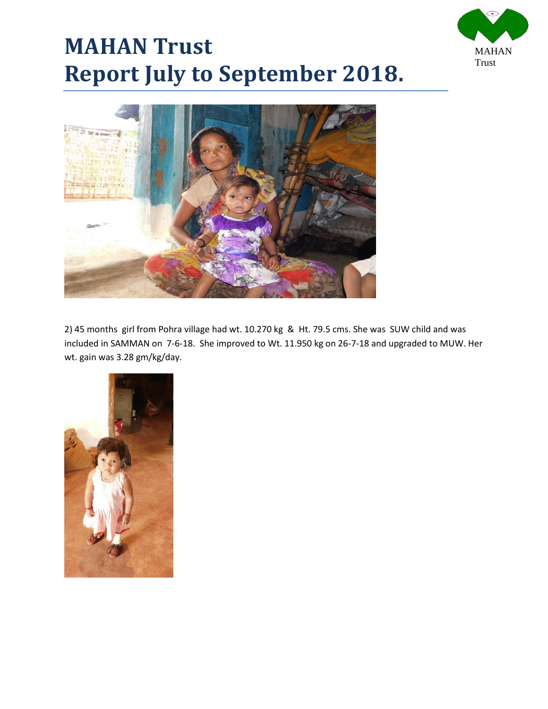





2) 45 months girl from Pohra village had wt. 10.270 kg & Ht. 79.5 cms. She was SUW child and was included in SAMMAN on 7-6-18. She improved to Wt. 11.950 kg on 26-7-18 and upgraded to MUW. Her wt. gain was 3.28 gm/kg/day.

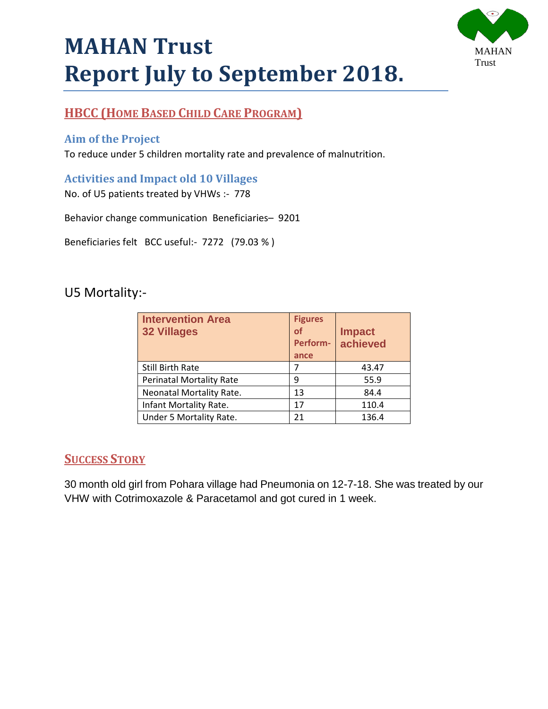

## **HBCC (HOME BASED CHILD CARE PROGRAM)**

### **Aim of the Project**

To reduce under 5 children mortality rate and prevalence of malnutrition.

#### **Activities and Impact old 10 Villages**

No. of U5 patients treated by VHWs :- 778

Behavior change communication Beneficiaries– 9201

Beneficiaries felt BCC useful:- 7272 (79.03 % )

## U5 Mortality:-

| <b>Intervention Area</b><br><b>32 Villages</b> | <b>Figures</b><br>of<br>Perform-<br>ance | <b>Impact</b><br>achieved |
|------------------------------------------------|------------------------------------------|---------------------------|
| <b>Still Birth Rate</b>                        |                                          | 43.47                     |
| <b>Perinatal Mortality Rate</b>                | 9                                        | 55.9                      |
| Neonatal Mortality Rate.                       | 13                                       | 84.4                      |
| Infant Mortality Rate.                         | 17                                       | 110.4                     |
| Under 5 Mortality Rate.                        | 21                                       | 136.4                     |

## **SUCCESS STORY**

30 month old girl from Pohara village had Pneumonia on 12-7-18. She was treated by our VHW with Cotrimoxazole & Paracetamol and got cured in 1 week.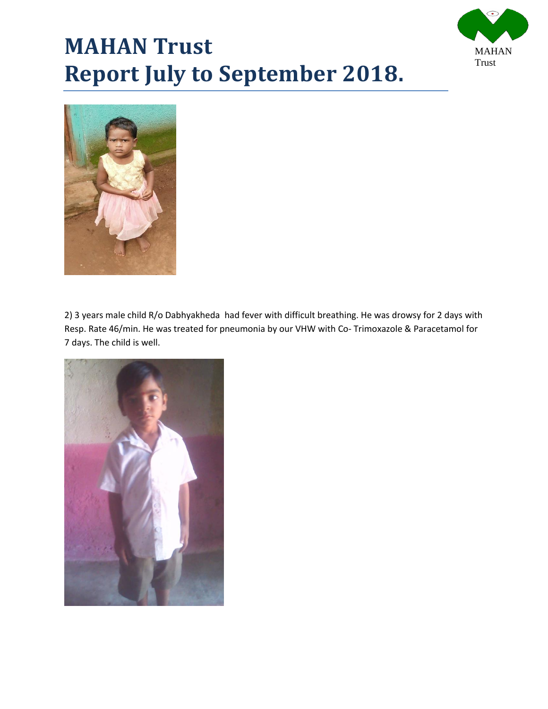



2) 3 years male child R/o Dabhyakheda had fever with difficult breathing. He was drowsy for 2 days with Resp. Rate 46/min. He was treated for pneumonia by our VHW with Co- Trimoxazole & Paracetamol for 7 days. The child is well.

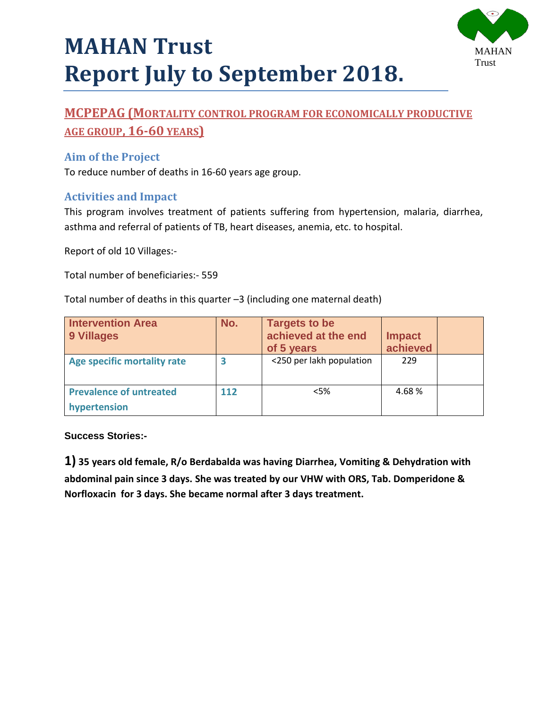



## **MCPEPAG (MORTALITY CONTROL PROGRAM FOR ECONOMICALLY PRODUCTIVE AGE GROUP, 16-60 YEARS)**

### **Aim of the Project**

To reduce number of deaths in 16-60 years age group.

### **Activities and Impact**

This program involves treatment of patients suffering from hypertension, malaria, diarrhea, asthma and referral of patients of TB, heart diseases, anemia, etc. to hospital.

Report of old 10 Villages:-

Total number of beneficiaries:- 559

Total number of deaths in this quarter –3 (including one maternal death)

| <b>Intervention Area</b><br>9 Villages         | No. | <b>Targets to be</b><br>achieved at the end<br>of 5 years | <b>Impact</b><br>achieved |  |
|------------------------------------------------|-----|-----------------------------------------------------------|---------------------------|--|
| Age specific mortality rate                    | 3   | <250 per lakh population                                  | 229                       |  |
| <b>Prevalence of untreated</b><br>hypertension | 112 | $<$ 5%                                                    | 4.68%                     |  |

#### **Success Stories:-**

**1) 35 years old female, R/o Berdabalda was having Diarrhea, Vomiting & Dehydration with abdominal pain since 3 days. She was treated by our VHW with ORS, Tab. Domperidone & Norfloxacin for 3 days. She became normal after 3 days treatment.**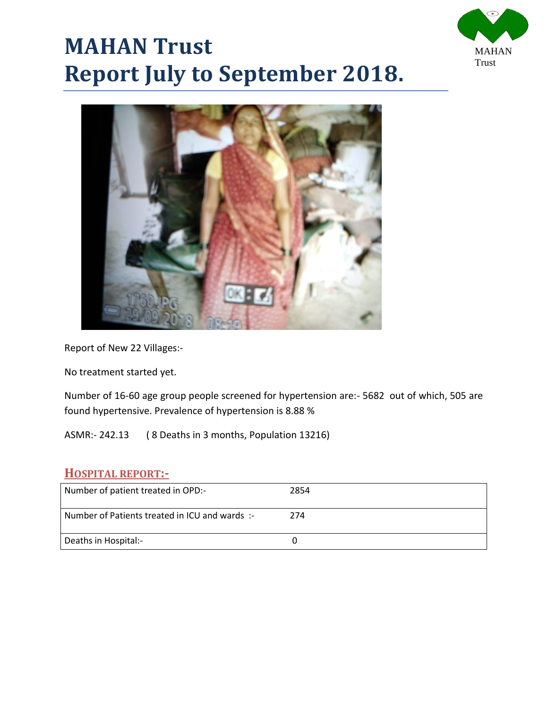



Report of New 22 Villages:-

No treatment started yet.

Number of 16-60 age group people screened for hypertension are:- 5682 out of which, 505 are found hypertensive. Prevalence of hypertension is 8.88 %

ASMR:- 242.13 ( 8 Deaths in 3 months, Population 13216)

#### **HOSPITAL REPORT:-**

| Number of patient treated in OPD:-           | 2854 |
|----------------------------------------------|------|
| Number of Patients treated in ICU and wards: | 274  |
| Deaths in Hospital:-                         |      |